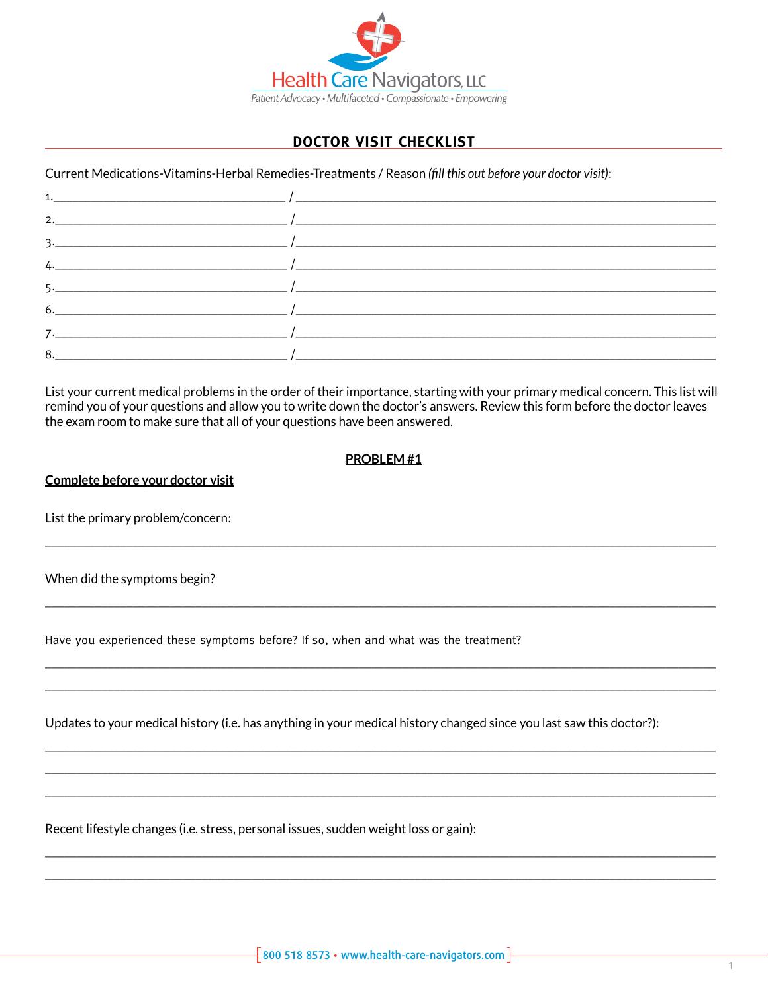

# **DOCTOR VISIT CHECKLIST**

Current Medications-Vitamins-Herbal Remedies-Treatments / Reason (fill this out before your doctor visit):

| $\frac{1}{2}$               |
|-----------------------------|
| 2. $\overline{\phantom{a}}$ |
| $\frac{3}{2}$               |
| $\frac{1}{2}$               |
|                             |
|                             |
|                             |
|                             |
|                             |

List your current medical problems in the order of their importance, starting with your primary medical concern. This list will remind you of your questions and allow you to write down the doctor's answers. Review this form before the doctor leaves the exam room to make sure that all of your questions have been answered.

#### **PROBLEM#1**

Complete before your doctor visit

List the primary problem/concern:

When did the symptoms begin?

Have you experienced these symptoms before? If so, when and what was the treatment?

Updates to your medical history (i.e. has anything in your medical history changed since you last saw this doctor?):

Recent lifestyle changes (i.e. stress, personal issues, sudden weight loss or gain):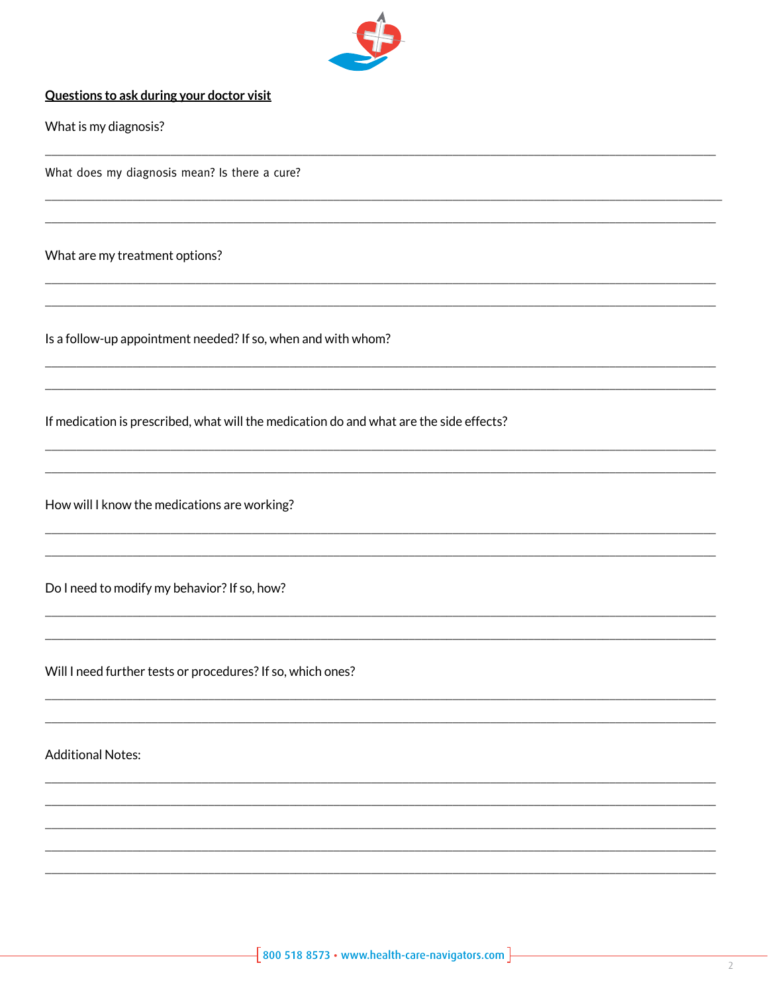

## Questions to ask during your doctor visit

What is my diagnosis?

What does my diagnosis mean? Is there a cure?

What are my treatment options?

Is a follow-up appointment needed? If so, when and with whom?

If medication is prescribed, what will the medication do and what are the side effects?

How will I know the medications are working?

Do I need to modify my behavior? If so, how?

Will I need further tests or procedures? If so, which ones?

**Additional Notes:**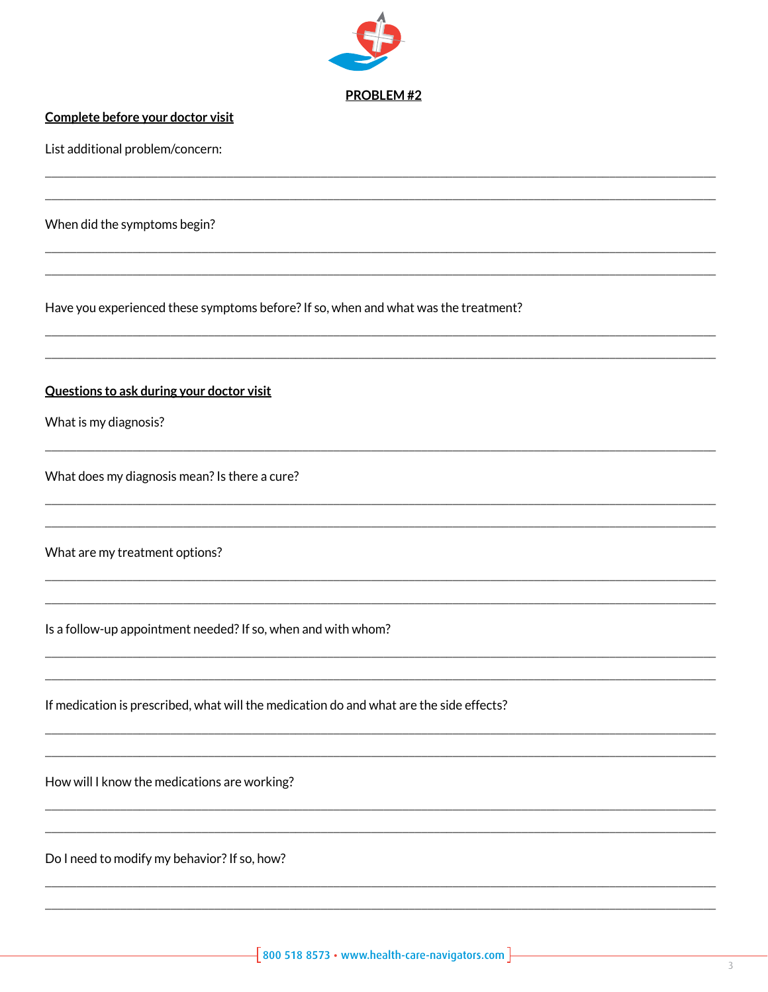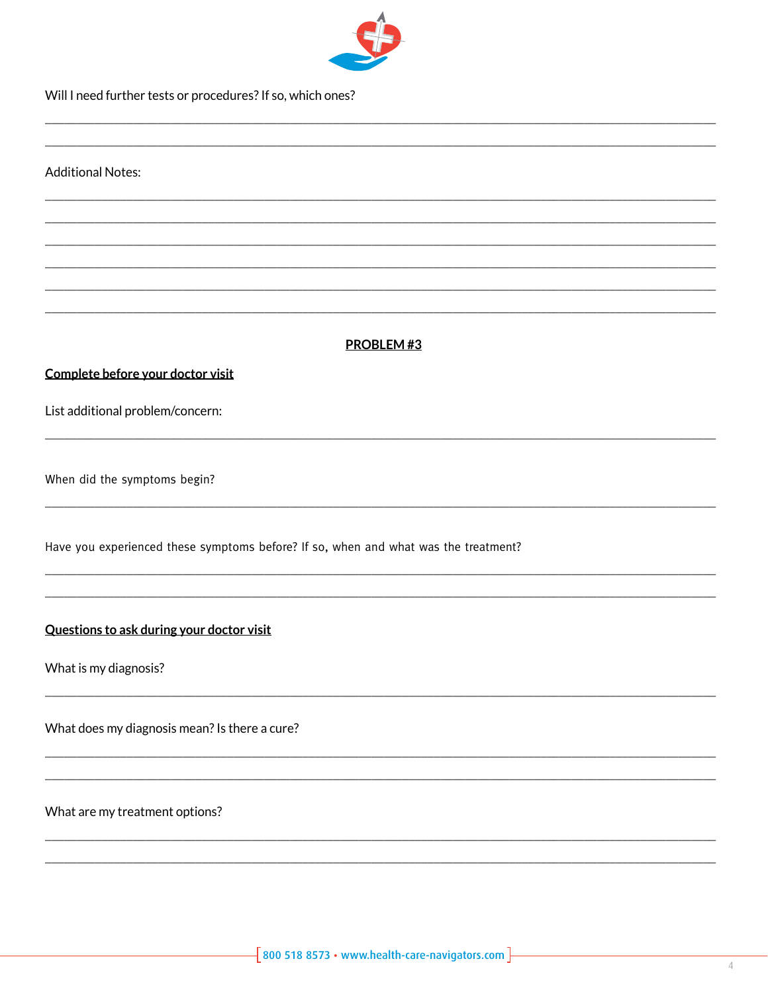

Will I need further tests or procedures? If so, which ones?

**Additional Notes:** 

## PROBLEM #3

#### Complete before your doctor visit

List additional problem/concern:

When did the symptoms begin?

Have you experienced these symptoms before? If so, when and what was the treatment?

## Questions to ask during your doctor visit

What is my diagnosis?

What does my diagnosis mean? Is there a cure?

What are my treatment options?